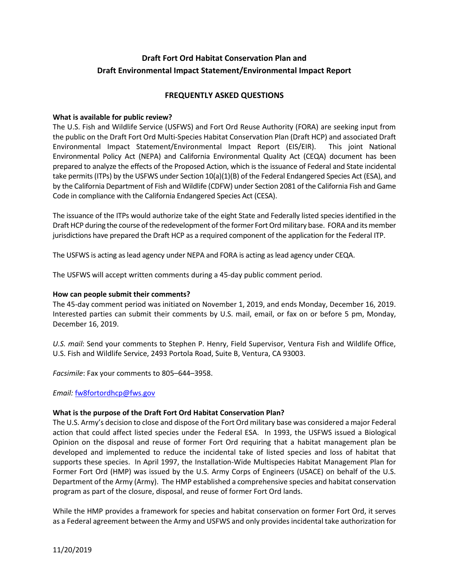# **Draft Fort Ord Habitat Conservation Plan and Draft Environmental Impact Statement/Environmental Impact Report**

# **FREQUENTLY ASKED QUESTIONS**

#### **What is available for public review?**

The U.S. Fish and Wildlife Service (USFWS) and Fort Ord Reuse Authority (FORA) are seeking input from the public on the Draft Fort Ord Multi-Species Habitat Conservation Plan (Draft HCP) and associated Draft Environmental Impact Statement/Environmental Impact Report (EIS/EIR). This joint National Environmental Policy Act (NEPA) and California Environmental Quality Act (CEQA) document has been prepared to analyze the effects of the Proposed Action, which is the issuance of Federal and State incidental take permits (ITPs) by the USFWS under Section 10(a)(1)(B) of the Federal Endangered Species Act (ESA), and by the California Department of Fish and Wildlife (CDFW) under Section 2081 of the California Fish and Game Code in compliance with the California Endangered Species Act (CESA).

The issuance of the ITPs would authorize take of the eight State and Federally listed species identified in the Draft HCP during the course of the redevelopment of the former Fort Ord military base. FORA and its member jurisdictions have prepared the Draft HCP as a required component of the application for the Federal ITP.

The USFWS is acting as lead agency under NEPA and FORA is acting as lead agency under CEQA.

The USFWS will accept written comments during a 45-day public comment period.

#### **How can people submit their comments?**

The 45-day comment period was initiated on November 1, 2019, and ends Monday, December 16, 2019. Interested parties can submit their comments by U.S. mail, email, or fax on or before 5 pm, Monday, December 16, 2019.

*U.S. mail*: Send your comments to Stephen P. Henry, Field Supervisor, Ventura Fish and Wildlife Office, U.S. Fish and Wildlife Service, 2493 Portola Road, Suite B, Ventura, CA 93003.

*Facsimile*: Fax your comments to 805–644–3958.

*Email:* [fw8fortordhcp@fws.gov](mailto:fw8fortordhcp@fws.gov)

#### **What is the purpose of the Draft Fort Ord Habitat Conservation Plan?**

The U.S. Army's decision to close and dispose of the Fort Ord military base was considered a major Federal action that could affect listed species under the Federal ESA. In 1993, the USFWS issued a Biological Opinion on the disposal and reuse of former Fort Ord requiring that a habitat management plan be developed and implemented to reduce the incidental take of listed species and loss of habitat that supports these species. In April 1997, the Installation-Wide Multispecies Habitat Management Plan for Former Fort Ord (HMP) was issued by the U.S. Army Corps of Engineers (USACE) on behalf of the U.S. Department of the Army (Army). The HMP established a comprehensive species and habitat conservation program as part of the closure, disposal, and reuse of former Fort Ord lands.

While the HMP provides a framework for species and habitat conservation on former Fort Ord, it serves as a Federal agreement between the Army and USFWS and only provides incidental take authorization for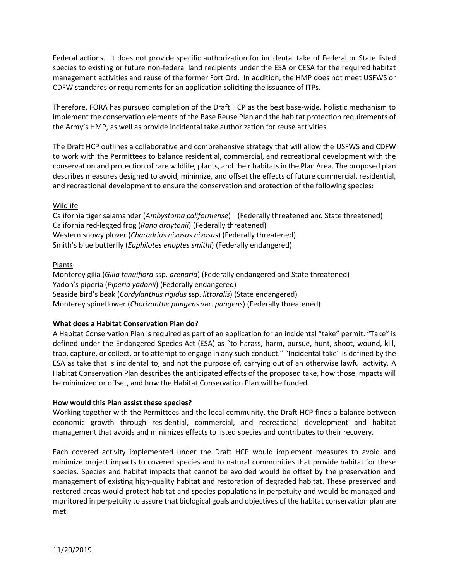Federal actions. It does not provide specific authorization for incidental take of Federal or State listed species to existing or future non-federal land recipients under the ESA or CESA for the required habitat management activities and reuse of the former Fort Ord. In addition, the HMP does not meet USFWS or CDFW standards or requirements for an application soliciting the issuance of ITPs.

Therefore, FORA has pursued completion of the Draft HCP as the best base-wide, holistic mechanism to implement the conservation elements of the Base Reuse Plan and the habitat protection requirements of the Army's HMP, as well as provide incidental take authorization for reuse activities.

The Draft HCP outlines a collaborative and comprehensive strategy that will allow the USFWS and CDFW to work with the Permittees to balance residential, commercial, and recreational development with the conservation and protection of rare wildlife, plants, and their habitats in the Plan Area. The proposed plan describes measures designed to avoid, minimize, and offset the effects of future commercial, residential, and recreational development to ensure the conservation and protection of the following species:

# Wildlife

California tiger salamander (*Ambystoma californiense*) (Federally threatened and State threatened) California red-legged frog (*Rana draytonii*) (Federally threatened) Western snowy plover (*Charadrius nivosus nivosus*) (Federally threatened) Smith's blue butterfly (*Euphilotes enoptes smithi*) (Federally endangered)

## Plants

Monterey gilia (*Gilia tenuiflora* ssp. *arenaria*) (Federally endangered and State threatened) Yadon's piperia (*Piperia yadonii*) (Federally endangered) Seaside bird's beak (*Cordylanthus rigidus* ssp. *littoralis*) (State endangered) Monterey spineflower (*Chorizanthe pungens* var. *pungens*) (Federally threatened)

# **What does a Habitat Conservation Plan do?**

A Habitat Conservation Plan is required as part of an application for an incidental "take" permit. "Take" is defined under the Endangered Species Act (ESA) as "to harass, harm, pursue, hunt, shoot, wound, kill, trap, capture, or collect, or to attempt to engage in any such conduct." "Incidental take" is defined by the ESA as take that is incidental to, and not the purpose of, carrying out of an otherwise lawful activity. A Habitat Conservation Plan describes the anticipated effects of the proposed take, how those impacts will be minimized or offset, and how the Habitat Conservation Plan will be funded.

## **How would this Plan assist these species?**

Working together with the Permittees and the local community, the Draft HCP finds a balance between economic growth through residential, commercial, and recreational development and habitat management that avoids and minimizes effects to listed species and contributes to their recovery.

Each covered activity implemented under the Draft HCP would implement measures to avoid and minimize project impacts to covered species and to natural communities that provide habitat for these species. Species and habitat impacts that cannot be avoided would be offset by the preservation and management of existing high-quality habitat and restoration of degraded habitat. These preserved and restored areas would protect habitat and species populations in perpetuity and would be managed and monitored in perpetuity to assure that biological goals and objectives of the habitat conservation plan are met.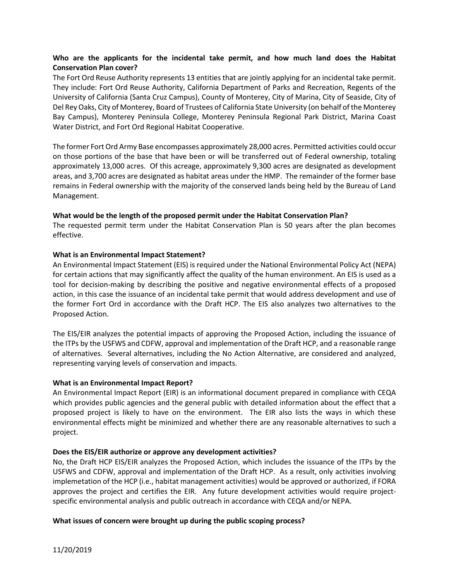## **Who are the applicants for the incidental take permit, and how much land does the Habitat Conservation Plan cover?**

The Fort Ord Reuse Authority represents 13 entities that are jointly applying for an incidental take permit. They include: Fort Ord Reuse Authority, California Department of Parks and Recreation, Regents of the University of California (Santa Cruz Campus), County of Monterey, City of Marina, City of Seaside, City of Del Rey Oaks, City of Monterey, Board of Trustees of California State University (on behalf of the Monterey Bay Campus), Monterey Peninsula College, Monterey Peninsula Regional Park District, Marina Coast Water District, and Fort Ord Regional Habitat Cooperative.

The former Fort Ord Army Base encompasses approximately 28,000 acres. Permitted activities could occur on those portions of the base that have been or will be transferred out of Federal ownership, totaling approximately 13,000 acres. Of this acreage, approximately 9,300 acres are designated as development areas, and 3,700 acres are designated as habitat areas under the HMP. The remainder of the former base remains in Federal ownership with the majority of the conserved lands being held by the Bureau of Land Management.

#### **What would be the length of the proposed permit under the Habitat Conservation Plan?**

The requested permit term under the Habitat Conservation Plan is 50 years after the plan becomes effective.

#### **What is an Environmental Impact Statement?**

An Environmental Impact Statement (EIS) is required under the National Environmental Policy Act (NEPA) for certain actions that may significantly affect the quality of the human environment. An EIS is used as a tool for decision-making by describing the positive and negative environmental effects of a proposed action, in this case the issuance of an incidental take permit that would address development and use of the former Fort Ord in accordance with the Draft HCP. The EIS also analyzes two alternatives to the Proposed Action.

The EIS/EIR analyzes the potential impacts of approving the Proposed Action, including the issuance of the ITPs by the USFWS and CDFW, approval and implementation of the Draft HCP, and a reasonable range of alternatives. Several alternatives, including the No Action Alternative, are considered and analyzed, representing varying levels of conservation and impacts.

#### **What is an Environmental Impact Report?**

An Environmental Impact Report (EIR) is an informational document prepared in compliance with CEQA which provides public agencies and the general public with detailed information about the effect that a proposed project is likely to have on the environment. The EIR also lists the ways in which these environmental effects might be minimized and whether there are any reasonable alternatives to such a project.

## **Does the EIS/EIR authorize or approve any development activities?**

No, the Draft HCP EIS/EIR analyzes the Proposed Action, which includes the issuance of the ITPs by the USFWS and CDFW, approval and implementation of the Draft HCP. As a result, only activities involving implemetation of the HCP (i.e., habitat management activities) would be approved or authorized, if FORA approves the project and certifies the EIR. Any future development activities would require projectspecific environmental analysis and public outreach in accordance with CEQA and/or NEPA.

## **What issues of concern were brought up during the public scoping process?**